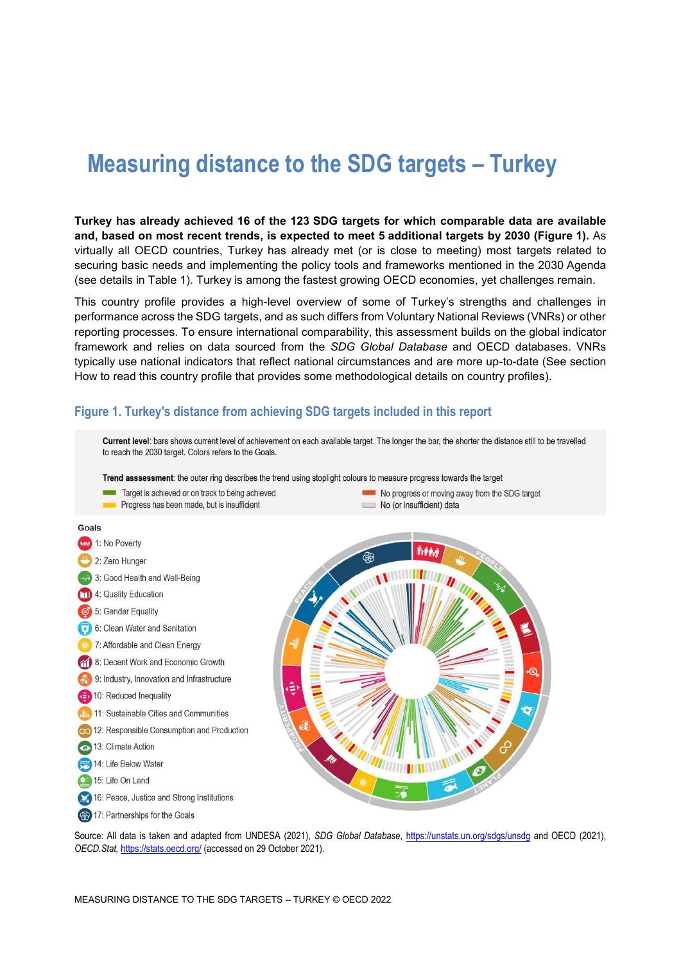# **Measuring distance to the SDG targets – Turkey**

**Turkey has already achieved 16 of the 123 SDG targets for which comparable data are available and, based on most recent trends, is expected to meet 5 additional targets by 2030 [\(Figure](#page-0-0) 1).** As virtually all OECD countries, Turkey has already met (or is close to meeting) most targets related to securing basic needs and implementing the policy tools and frameworks mentioned in the 2030 Agenda (see details in [Table](#page-3-0) 1). Turkey is among the fastest growing OECD economies, yet challenges remain.

This country profile provides a high-level overview of some of Turkey's strengths and challenges in performance across the SDG targets, and as such differs from Voluntary National Reviews (VNRs) or other reporting processes. To ensure international comparability, this assessment builds on the global indicator framework and relies on data sourced from the *SDG Global Database* and OECD databases. VNRs typically use national indicators that reflect national circumstances and are more up-to-date (See section [How to read this](#page-8-0) country profile that provides some methodological details on country profiles).

#### <span id="page-0-0"></span>**Figure 1. Turkey's distance from achieving SDG targets included in this report**



Source: All data is taken and adapted from UNDESA (2021), *SDG Global Database*,<https://unstats.un.org/sdgs/unsdg> and OECD (2021), *OECD.Stat,* <https://stats.oecd.org/> (accessed on 29 October 2021).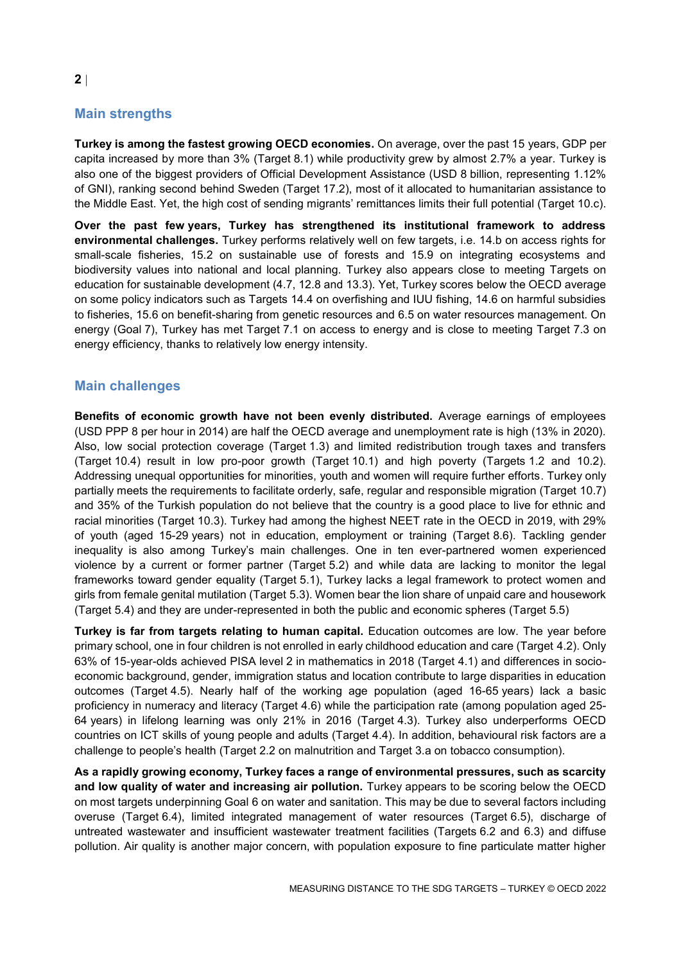# **Main strengths**

**Turkey is among the fastest growing OECD economies.** On average, over the past 15 years, GDP per capita increased by more than 3% (Target 8.1) while productivity grew by almost 2.7% a year. Turkey is also one of the biggest providers of Official Development Assistance (USD 8 billion, representing 1.12% of GNI), ranking second behind Sweden (Target 17.2), most of it allocated to humanitarian assistance to the Middle East. Yet, the high cost of sending migrants' remittances limits their full potential (Target 10.c).

**Over the past few years, Turkey has strengthened its institutional framework to address environmental challenges.** Turkey performs relatively well on few targets, i.e. 14.b on access rights for small-scale fisheries, 15.2 on sustainable use of forests and 15.9 on integrating ecosystems and biodiversity values into national and local planning. Turkey also appears close to meeting Targets on education for sustainable development (4.7, 12.8 and 13.3). Yet, Turkey scores below the OECD average on some policy indicators such as Targets 14.4 on overfishing and IUU fishing, 14.6 on harmful subsidies to fisheries, 15.6 on benefit-sharing from genetic resources and 6.5 on water resources management. On energy (Goal 7), Turkey has met Target 7.1 on access to energy and is close to meeting Target 7.3 on energy efficiency, thanks to relatively low energy intensity.

# **Main challenges**

**Benefits of economic growth have not been evenly distributed.** Average earnings of employees (USD PPP 8 per hour in 2014) are half the OECD average and unemployment rate is high (13% in 2020). Also, low social protection coverage (Target 1.3) and limited redistribution trough taxes and transfers (Target 10.4) result in low pro-poor growth (Target 10.1) and high poverty (Targets 1.2 and 10.2). Addressing unequal opportunities for minorities, youth and women will require further efforts. Turkey only partially meets the requirements to facilitate orderly, safe, regular and responsible migration (Target 10.7) and 35% of the Turkish population do not believe that the country is a good place to live for ethnic and racial minorities (Target 10.3). Turkey had among the highest NEET rate in the OECD in 2019, with 29% of youth (aged 15-29 years) not in education, employment or training (Target 8.6). Tackling gender inequality is also among Turkey's main challenges. One in ten ever-partnered women experienced violence by a current or former partner (Target 5.2) and while data are lacking to monitor the legal frameworks toward gender equality (Target 5.1), Turkey lacks a legal framework to protect women and girls from female genital mutilation (Target 5.3). Women bear the lion share of unpaid care and housework (Target 5.4) and they are under-represented in both the public and economic spheres (Target 5.5)

**Turkey is far from targets relating to human capital.** Education outcomes are low. The year before primary school, one in four children is not enrolled in early childhood education and care (Target 4.2). Only 63% of 15-year-olds achieved PISA level 2 in mathematics in 2018 (Target 4.1) and differences in socioeconomic background, gender, immigration status and location contribute to large disparities in education outcomes (Target 4.5). Nearly half of the working age population (aged 16-65 years) lack a basic proficiency in numeracy and literacy (Target 4.6) while the participation rate (among population aged 25- 64 years) in lifelong learning was only 21% in 2016 (Target 4.3). Turkey also underperforms OECD countries on ICT skills of young people and adults (Target 4.4). In addition, behavioural risk factors are a challenge to people's health (Target 2.2 on malnutrition and Target 3.a on tobacco consumption).

**As a rapidly growing economy, Turkey faces a range of environmental pressures, such as scarcity and low quality of water and increasing air pollution.** Turkey appears to be scoring below the OECD on most targets underpinning Goal 6 on water and sanitation. This may be due to several factors including overuse (Target 6.4), limited integrated management of water resources (Target 6.5), discharge of untreated wastewater and insufficient wastewater treatment facilities (Targets 6.2 and 6.3) and diffuse pollution. Air quality is another major concern, with population exposure to fine particulate matter higher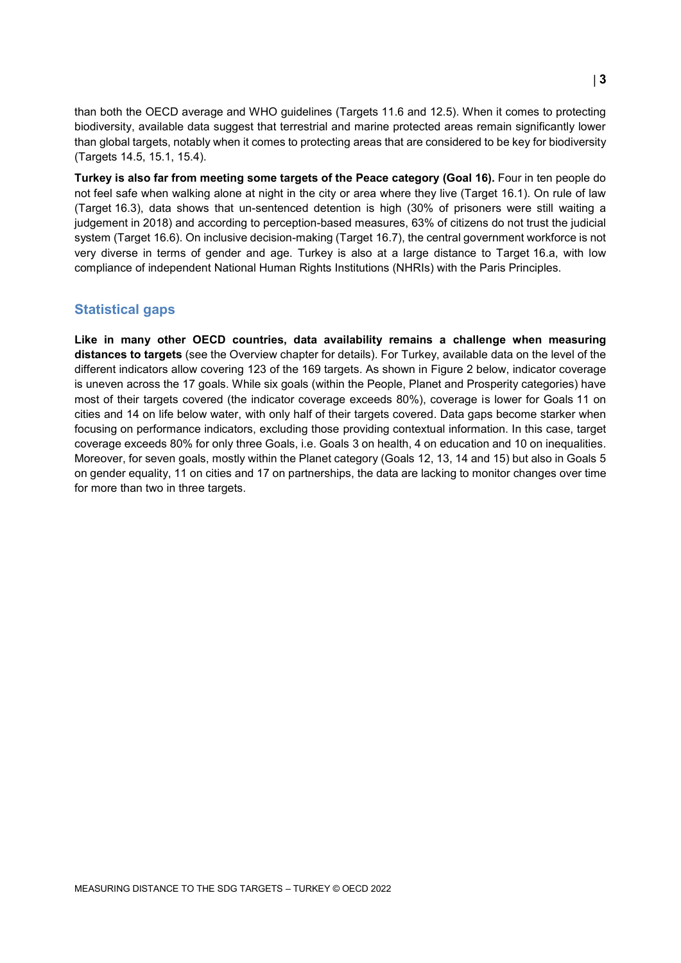than both the OECD average and WHO guidelines (Targets 11.6 and 12.5). When it comes to protecting biodiversity, available data suggest that terrestrial and marine protected areas remain significantly lower than global targets, notably when it comes to protecting areas that are considered to be key for biodiversity (Targets 14.5, 15.1, 15.4).

**Turkey is also far from meeting some targets of the Peace category (Goal 16).** Four in ten people do not feel safe when walking alone at night in the city or area where they live (Target 16.1). On rule of law (Target 16.3), data shows that un-sentenced detention is high (30% of prisoners were still waiting a judgement in 2018) and according to perception-based measures, 63% of citizens do not trust the judicial system (Target 16.6). On inclusive decision-making (Target 16.7), the central government workforce is not very diverse in terms of gender and age. Turkey is also at a large distance to Target 16.a, with low compliance of independent National Human Rights Institutions (NHRIs) with the Paris Principles.

#### **Statistical gaps**

**Like in many other OECD countries, data availability remains a challenge when measuring distances to targets** (see the Overview chapter for details). For Turkey, available data on the level of the different indicators allow covering 123 of the 169 targets. As shown in [Figure](#page-3-1) 2 below, indicator coverage is uneven across the 17 goals. While six goals (within the People, Planet and Prosperity categories) have most of their targets covered (the indicator coverage exceeds 80%), coverage is lower for Goals 11 on cities and 14 on life below water, with only half of their targets covered. Data gaps become starker when focusing on performance indicators, excluding those providing contextual information. In this case, target coverage exceeds 80% for only three Goals, i.e. Goals 3 on health, 4 on education and 10 on inequalities. Moreover, for seven goals, mostly within the Planet category (Goals 12, 13, 14 and 15) but also in Goals 5 on gender equality, 11 on cities and 17 on partnerships, the data are lacking to monitor changes over time for more than two in three targets.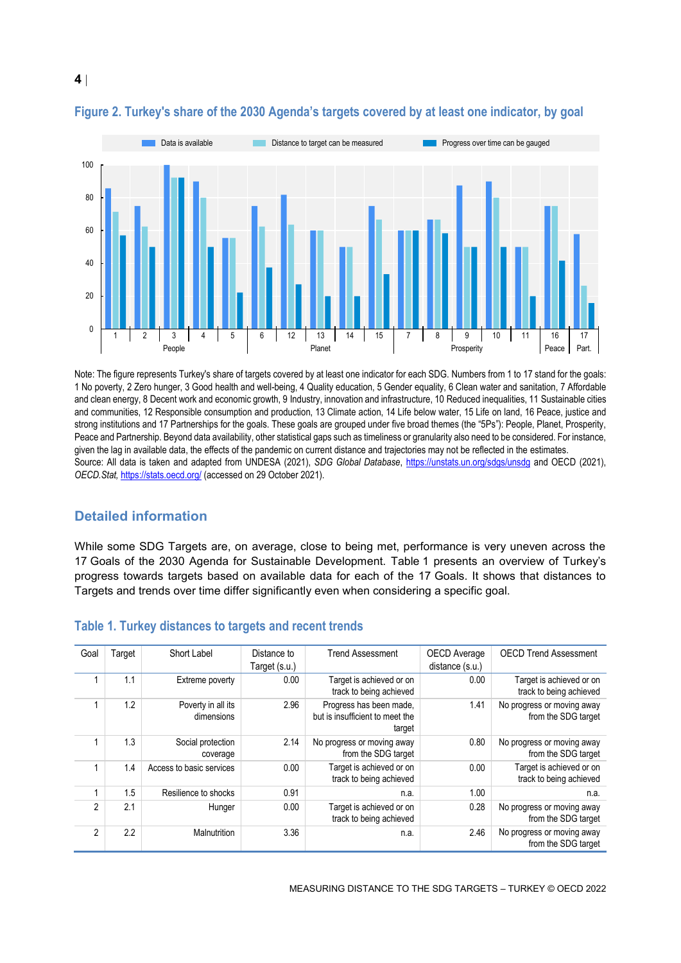

### <span id="page-3-1"></span>**Figure 2. Turkey's share of the 2030 Agenda's targets covered by at least one indicator, by goal**

Note: The figure represents Turkey's share of targets covered by at least one indicator for each SDG. Numbers from 1 to 17 stand for the goals: 1 No poverty, 2 Zero hunger, 3 Good health and well-being, 4 Quality education, 5 Gender equality, 6 Clean water and sanitation, 7 Affordable and clean energy, 8 Decent work and economic growth, 9 Industry, innovation and infrastructure, 10 Reduced inequalities, 11 Sustainable cities and communities, 12 Responsible consumption and production, 13 Climate action, 14 Life below water, 15 Life on land, 16 Peace, justice and strong institutions and 17 Partnerships for the goals. These goals are grouped under five broad themes (the "5Ps"): People, Planet, Prosperity, Peace and Partnership. Beyond data availability, other statistical gaps such as timeliness or granularity also need to be considered. For instance, given the lag in available data, the effects of the pandemic on current distance and trajectories may not be reflected in the estimates. Source: All data is taken and adapted from UNDESA (2021), *SDG Global Database*,<https://unstats.un.org/sdgs/unsdg> and OECD (2021), *OECD.Stat,* <https://stats.oecd.org/> (accessed on 29 October 2021).

# **Detailed information**

While some SDG Targets are, on average, close to being met, performance is very uneven across the 17 Goals of the 2030 Agenda for Sustainable Development. [Table](#page-3-0) 1 presents an overview of Turkey's progress towards targets based on available data for each of the 17 Goals. It shows that distances to Targets and trends over time differ significantly even when considering a specific goal.

| Goal           | Target | Short Label                      | Distance to<br>Target (s.u.) | <b>Trend Assessment</b>                                              | OECD Average<br>distance (s.u.) | <b>OECD Trend Assessment</b>                        |
|----------------|--------|----------------------------------|------------------------------|----------------------------------------------------------------------|---------------------------------|-----------------------------------------------------|
|                |        |                                  |                              |                                                                      |                                 |                                                     |
|                | 1.1    | Extreme poverty                  | 0.00                         | Target is achieved or on<br>track to being achieved                  | 0.00                            | Target is achieved or on<br>track to being achieved |
|                | 1.2    | Poverty in all its<br>dimensions | 2.96                         | Progress has been made,<br>but is insufficient to meet the<br>target | 1.41                            | No progress or moving away<br>from the SDG target   |
|                | 1.3    | Social protection<br>coverage    | 2.14                         | No progress or moving away<br>from the SDG target                    | 0.80                            | No progress or moving away<br>from the SDG target   |
|                | 1.4    | Access to basic services         | 0.00                         | Target is achieved or on<br>track to being achieved                  | 0.00                            | Target is achieved or on<br>track to being achieved |
|                | 1.5    | Resilience to shocks             | 0.91                         | n.a.                                                                 | 1.00                            | n.a.                                                |
| $\mathfrak{p}$ | 2.1    | Hunger                           | 0.00                         | Target is achieved or on<br>track to being achieved                  | 0.28                            | No progress or moving away<br>from the SDG target   |
| $\overline{2}$ | 2.2    | <b>Malnutrition</b>              | 3.36                         | n.a.                                                                 | 2.46                            | No progress or moving away<br>from the SDG target   |

#### <span id="page-3-0"></span>**Table 1. Turkey distances to targets and recent trends**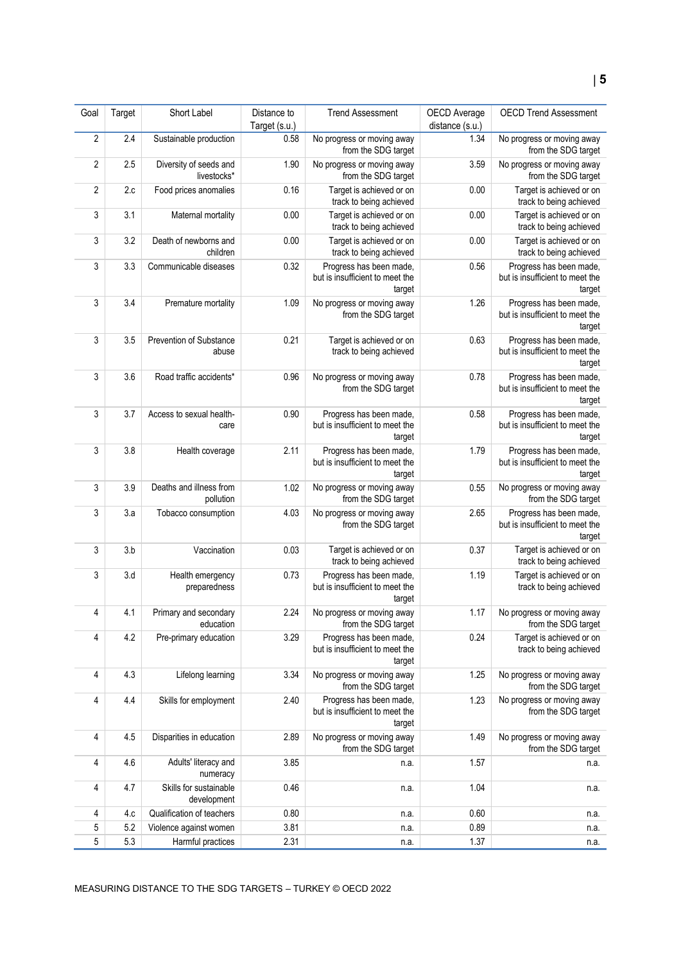| Goal           | Target | Short Label                           | Distance to   | <b>Trend Assessment</b>                                              | OECD Average    | <b>OECD Trend Assessment</b>                                         |
|----------------|--------|---------------------------------------|---------------|----------------------------------------------------------------------|-----------------|----------------------------------------------------------------------|
|                |        |                                       | Target (s.u.) |                                                                      | distance (s.u.) |                                                                      |
| $\sqrt{2}$     | 2.4    | Sustainable production                | 0.58          | No progress or moving away<br>from the SDG target                    | 1.34            | No progress or moving away<br>from the SDG target                    |
| $\overline{2}$ | 2.5    | Diversity of seeds and<br>livestocks* | 1.90          | No progress or moving away<br>from the SDG target                    | 3.59            | No progress or moving away<br>from the SDG target                    |
| $\overline{2}$ | 2.c    | Food prices anomalies                 | 0.16          | Target is achieved or on<br>track to being achieved                  | 0.00            | Target is achieved or on<br>track to being achieved                  |
| 3              | 3.1    | Maternal mortality                    | 0.00          | Target is achieved or on<br>track to being achieved                  | 0.00            | Target is achieved or on<br>track to being achieved                  |
| 3              | 3.2    | Death of newborns and<br>children     | 0.00          | Target is achieved or on<br>track to being achieved                  | 0.00            | Target is achieved or on<br>track to being achieved                  |
| 3              | 3.3    | Communicable diseases                 | 0.32          | Progress has been made,<br>but is insufficient to meet the<br>target | 0.56            | Progress has been made,<br>but is insufficient to meet the<br>target |
| 3              | 3.4    | Premature mortality                   | 1.09          | No progress or moving away<br>from the SDG target                    | 1.26            | Progress has been made,<br>but is insufficient to meet the<br>target |
| 3              | 3.5    | Prevention of Substance<br>abuse      | 0.21          | Target is achieved or on<br>track to being achieved                  | 0.63            | Progress has been made,<br>but is insufficient to meet the<br>target |
| 3              | 3.6    | Road traffic accidents*               | 0.96          | No progress or moving away<br>from the SDG target                    | 0.78            | Progress has been made,<br>but is insufficient to meet the<br>target |
| 3              | 3.7    | Access to sexual health-<br>care      | 0.90          | Progress has been made,<br>but is insufficient to meet the<br>target | 0.58            | Progress has been made,<br>but is insufficient to meet the<br>target |
| 3              | 3.8    | Health coverage                       | 2.11          | Progress has been made,<br>but is insufficient to meet the<br>target | 1.79            | Progress has been made,<br>but is insufficient to meet the<br>target |
| $\sqrt{3}$     | 3.9    | Deaths and illness from<br>pollution  | 1.02          | No progress or moving away<br>from the SDG target                    | 0.55            | No progress or moving away<br>from the SDG target                    |
| 3              | 3.a    | Tobacco consumption                   | 4.03          | No progress or moving away<br>from the SDG target                    | 2.65            | Progress has been made,<br>but is insufficient to meet the<br>target |
| 3              | 3.b    | Vaccination                           | 0.03          | Target is achieved or on<br>track to being achieved                  | 0.37            | Target is achieved or on<br>track to being achieved                  |
| 3              | 3.d    | Health emergency<br>preparedness      | 0.73          | Progress has been made,<br>but is insufficient to meet the<br>target | 1.19            | Target is achieved or on<br>track to being achieved                  |
| 4              | 4.1    | Primary and secondary<br>education    | 2.24          | No progress or moving away<br>from the SDG target                    | 1.17            | No progress or moving away<br>from the SDG target                    |
| 4              | 4.2    | Pre-primary education                 | 3.29          | Progress has been made,<br>but is insufficient to meet the<br>target | 0.24            | Target is achieved or on<br>track to being achieved                  |
| 4              | 4.3    | Lifelong learning                     | 3.34          | No progress or moving away<br>from the SDG target                    | 1.25            | No progress or moving away<br>from the SDG target                    |
| 4              | 4.4    | Skills for employment                 | 2.40          | Progress has been made,<br>but is insufficient to meet the<br>target | 1.23            | No progress or moving away<br>from the SDG target                    |
| 4              | 4.5    | Disparities in education              | 2.89          | No progress or moving away<br>from the SDG target                    | 1.49            | No progress or moving away<br>from the SDG target                    |
| 4              | 4.6    | Adults' literacy and<br>numeracy      | 3.85          | n.a.                                                                 | 1.57            | n.a.                                                                 |
| 4              | 4.7    | Skills for sustainable<br>development | 0.46          | n.a.                                                                 | 1.04            | n.a.                                                                 |
| 4              | 4.c    | Qualification of teachers             | 0.80          | n.a.                                                                 | 0.60            | n.a.                                                                 |
| 5              | 5.2    | Violence against women                | 3.81          | n.a.                                                                 | 0.89            | n.a.                                                                 |
| 5              | 5.3    | Harmful practices                     | 2.31          | n.a.                                                                 | 1.37            | n.a.                                                                 |
|                |        |                                       |               |                                                                      |                 |                                                                      |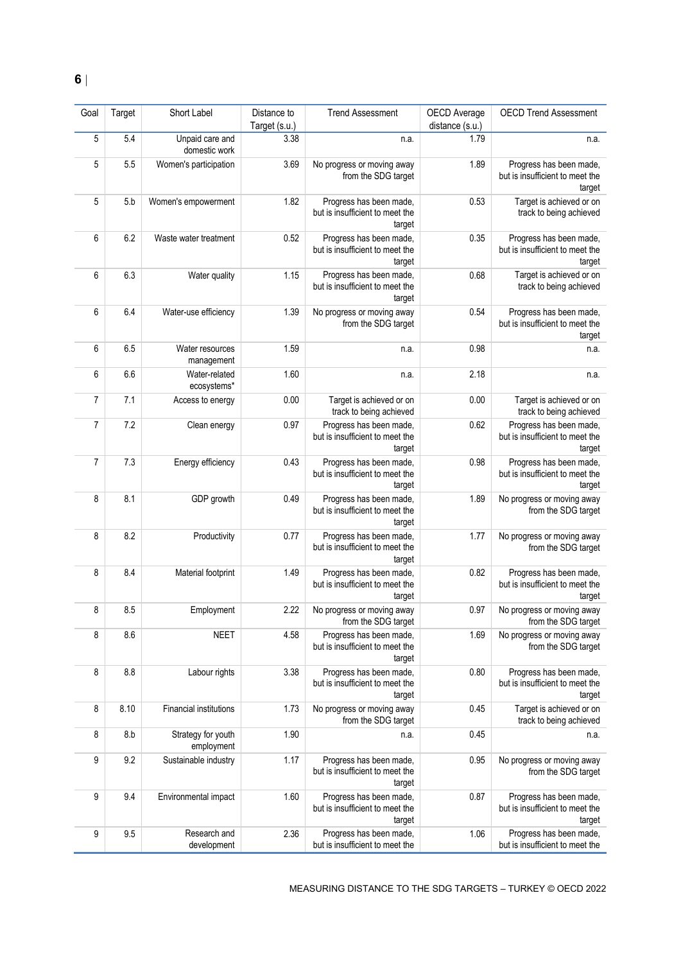| Goal | Target | Short Label                      | Distance to<br>Target (s.u.) | <b>Trend Assessment</b>                                              | OECD Average<br>distance (s.u.) | <b>OECD Trend Assessment</b>                                         |
|------|--------|----------------------------------|------------------------------|----------------------------------------------------------------------|---------------------------------|----------------------------------------------------------------------|
| 5    | 5.4    | Unpaid care and<br>domestic work | 3.38                         | n.a.                                                                 | 1.79                            | n.a.                                                                 |
| 5    | 5.5    | Women's participation            | 3.69                         | No progress or moving away<br>from the SDG target                    | 1.89                            | Progress has been made,<br>but is insufficient to meet the<br>target |
| 5    | 5.b    | Women's empowerment              | 1.82                         | Progress has been made,<br>but is insufficient to meet the<br>target | 0.53                            | Target is achieved or on<br>track to being achieved                  |
| 6    | 6.2    | Waste water treatment            | 0.52                         | Progress has been made,<br>but is insufficient to meet the<br>target | 0.35                            | Progress has been made,<br>but is insufficient to meet the<br>target |
| 6    | 6.3    | Water quality                    | 1.15                         | Progress has been made,<br>but is insufficient to meet the<br>target | 0.68                            | Target is achieved or on<br>track to being achieved                  |
| 6    | 6.4    | Water-use efficiency             | 1.39                         | No progress or moving away<br>from the SDG target                    | 0.54                            | Progress has been made,<br>but is insufficient to meet the<br>target |
| 6    | 6.5    | Water resources<br>management    | 1.59                         | n.a.                                                                 | 0.98                            | n.a.                                                                 |
| 6    | 6.6    | Water-related<br>ecosystems*     | 1.60                         | n.a.                                                                 | 2.18                            | n.a.                                                                 |
| 7    | 7.1    | Access to energy                 | 0.00                         | Target is achieved or on<br>track to being achieved                  | 0.00                            | Target is achieved or on<br>track to being achieved                  |
| 7    | 7.2    | Clean energy                     | 0.97                         | Progress has been made,<br>but is insufficient to meet the<br>target | 0.62                            | Progress has been made,<br>but is insufficient to meet the<br>target |
| 7    | 7.3    | Energy efficiency                | 0.43                         | Progress has been made,<br>but is insufficient to meet the<br>target | 0.98                            | Progress has been made,<br>but is insufficient to meet the<br>target |
| 8    | 8.1    | GDP growth                       | 0.49                         | Progress has been made,<br>but is insufficient to meet the<br>target | 1.89                            | No progress or moving away<br>from the SDG target                    |
| 8    | 8.2    | Productivity                     | 0.77                         | Progress has been made,<br>but is insufficient to meet the<br>target | 1.77                            | No progress or moving away<br>from the SDG target                    |
| 8    | 8.4    | Material footprint               | 1.49                         | Progress has been made,<br>but is insufficient to meet the<br>target | 0.82                            | Progress has been made,<br>but is insufficient to meet the<br>target |
| 8    | 8.5    | Employment                       | 2.22                         | No progress or moving away<br>from the SDG target                    | 0.97                            | No progress or moving away<br>from the SDG target                    |
| 8    | 8.6    | <b>NEET</b>                      | 4.58                         | Progress has been made,<br>but is insufficient to meet the<br>target | 1.69                            | No progress or moving away<br>from the SDG target                    |
| 8    | 8.8    | Labour rights                    | 3.38                         | Progress has been made,<br>but is insufficient to meet the<br>target | 0.80                            | Progress has been made,<br>but is insufficient to meet the<br>target |
| 8    | 8.10   | Financial institutions           | 1.73                         | No progress or moving away<br>from the SDG target                    | 0.45                            | Target is achieved or on<br>track to being achieved                  |
| 8    | 8.b    | Strategy for youth<br>employment | 1.90                         | n.a.                                                                 | 0.45                            | n.a.                                                                 |
| 9    | 9.2    | Sustainable industry             | 1.17                         | Progress has been made,<br>but is insufficient to meet the<br>target | 0.95                            | No progress or moving away<br>from the SDG target                    |
| 9    | 9.4    | Environmental impact             | 1.60                         | Progress has been made,<br>but is insufficient to meet the<br>target | 0.87                            | Progress has been made,<br>but is insufficient to meet the<br>target |
| 9    | 9.5    | Research and<br>development      | 2.36                         | Progress has been made,<br>but is insufficient to meet the           | 1.06                            | Progress has been made,<br>but is insufficient to meet the           |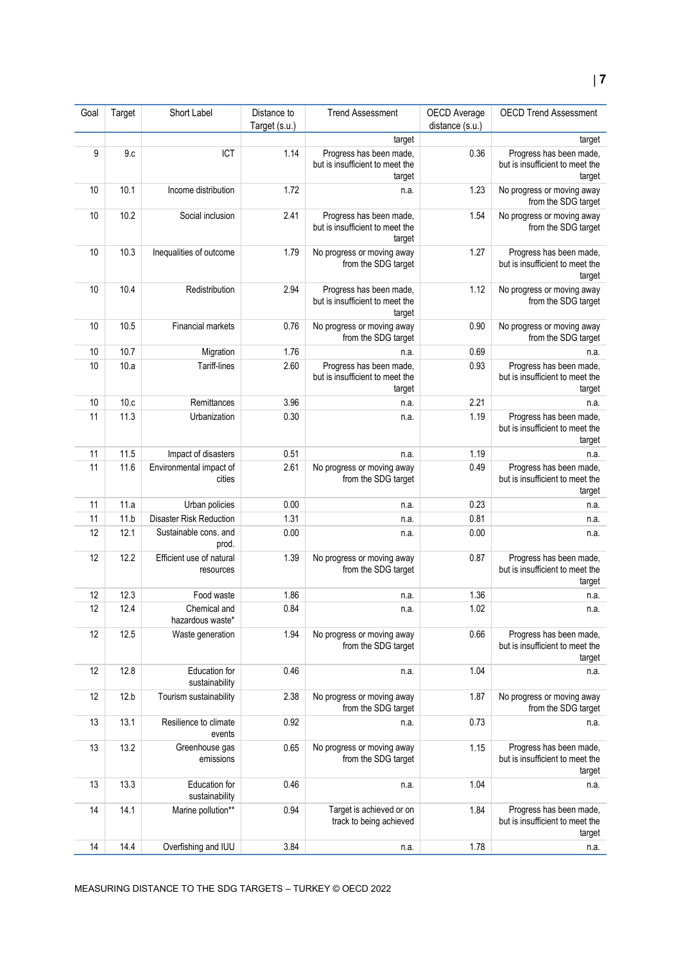# **7**

| Goal | Target | Short Label                           | Distance to<br>Target (s.u.) | <b>Trend Assessment</b>                                              | OECD Average<br>distance (s.u.) | <b>OECD Trend Assessment</b>                                         |
|------|--------|---------------------------------------|------------------------------|----------------------------------------------------------------------|---------------------------------|----------------------------------------------------------------------|
|      |        |                                       |                              | target                                                               |                                 | target                                                               |
| 9    | 9.c    | ICT                                   | 1.14                         | Progress has been made,<br>but is insufficient to meet the<br>target | 0.36                            | Progress has been made,<br>but is insufficient to meet the<br>target |
| 10   | 10.1   | Income distribution                   | 1.72                         | n.a.                                                                 | 1.23                            | No progress or moving away<br>from the SDG target                    |
| 10   | 10.2   | Social inclusion                      | 2.41                         | Progress has been made,<br>but is insufficient to meet the<br>target | 1.54                            | No progress or moving away<br>from the SDG target                    |
| 10   | 10.3   | Inequalities of outcome               | 1.79                         | No progress or moving away<br>from the SDG target                    | 1.27                            | Progress has been made,<br>but is insufficient to meet the<br>target |
| 10   | 10.4   | Redistribution                        | 2.94                         | Progress has been made,<br>but is insufficient to meet the<br>target | 1.12                            | No progress or moving away<br>from the SDG target                    |
| 10   | 10.5   | <b>Financial markets</b>              | 0.76                         | No progress or moving away<br>from the SDG target                    | 0.90                            | No progress or moving away<br>from the SDG target                    |
| 10   | 10.7   | Migration                             | 1.76                         | n.a.                                                                 | 0.69                            | n.a.                                                                 |
| 10   | 10.a   | Tariff-lines                          | 2.60                         | Progress has been made,<br>but is insufficient to meet the<br>target | 0.93                            | Progress has been made,<br>but is insufficient to meet the<br>target |
| 10   | 10.c   | Remittances                           | 3.96                         | n.a.                                                                 | 2.21                            | n.a.                                                                 |
| 11   | 11.3   | Urbanization                          | 0.30                         | n.a.                                                                 | 1.19                            | Progress has been made,<br>but is insufficient to meet the<br>target |
| 11   | 11.5   | Impact of disasters                   | 0.51                         | n.a.                                                                 | 1.19                            | n.a.                                                                 |
| 11   | 11.6   | Environmental impact of<br>cities     | 2.61                         | No progress or moving away<br>from the SDG target                    | 0.49                            | Progress has been made,<br>but is insufficient to meet the<br>target |
| 11   | 11.a   | Urban policies                        | $0.00\,$                     | n.a.                                                                 | 0.23                            | n.a.                                                                 |
| 11   | 11.b   | <b>Disaster Risk Reduction</b>        | 1.31                         | n.a.                                                                 | 0.81                            | n.a.                                                                 |
| 12   | 12.1   | Sustainable cons. and<br>prod.        | 0.00                         | n.a.                                                                 | 0.00                            | n.a.                                                                 |
| 12   | 12.2   | Efficient use of natural<br>resources | 1.39                         | No progress or moving away<br>from the SDG target                    | 0.87                            | Progress has been made,<br>but is insufficient to meet the<br>target |
| 12   | 12.3   | Food waste                            | 1.86                         | n.a.                                                                 | 1.36                            | n.a.                                                                 |
| 12   | 12.4   | Chemical and<br>hazardous waste*      | 0.84                         | n.a                                                                  | 1.02                            | n.a.                                                                 |
| 12   | 12.5   | Waste generation                      | 1.94                         | No progress or moving away<br>from the SDG target                    | 0.66                            | Progress has been made,<br>but is insufficient to meet the<br>target |
| 12   | 12.8   | Education for<br>sustainability       | 0.46                         | n.a.                                                                 | 1.04                            | n.a.                                                                 |
| 12   | 12.b   | Tourism sustainability                | 2.38                         | No progress or moving away<br>from the SDG target                    | 1.87                            | No progress or moving away<br>from the SDG target                    |
| 13   | 13.1   | Resilience to climate<br>events       | 0.92                         | n.a.                                                                 | 0.73                            | n.a.                                                                 |
| 13   | 13.2   | Greenhouse gas<br>emissions           | 0.65                         | No progress or moving away<br>from the SDG target                    | 1.15                            | Progress has been made,<br>but is insufficient to meet the<br>target |
| 13   | 13.3   | Education for<br>sustainability       | 0.46                         | n.a.                                                                 | 1.04                            | n.a.                                                                 |
| 14   | 14.1   | Marine pollution**                    | 0.94                         | Target is achieved or on<br>track to being achieved                  | 1.84                            | Progress has been made,<br>but is insufficient to meet the<br>target |
| 14   | 14.4   | Overfishing and IUU                   | 3.84                         | n.a.                                                                 | 1.78                            | n.a.                                                                 |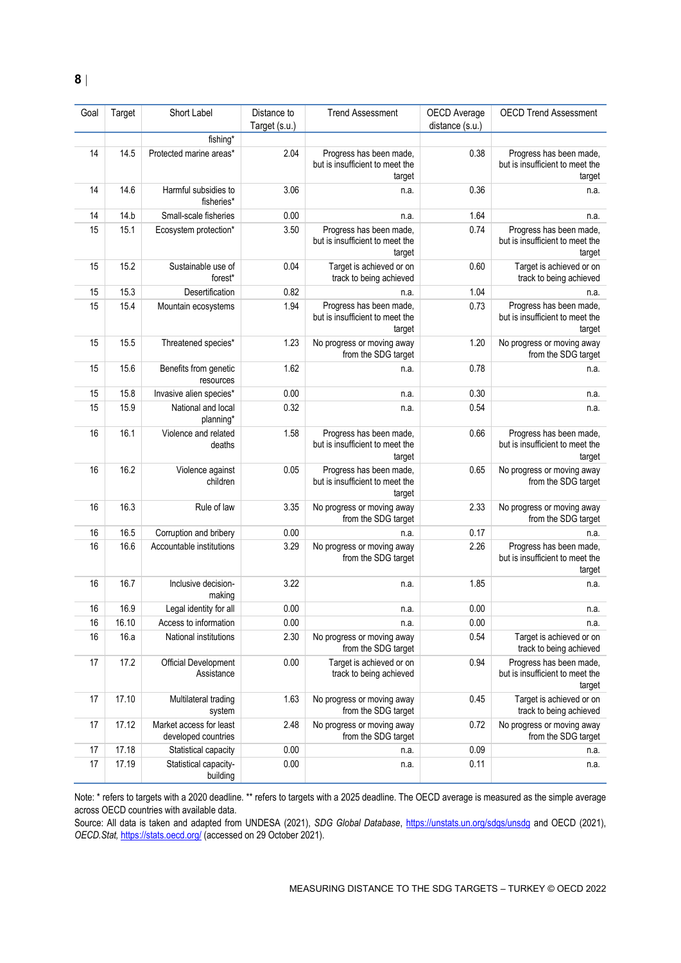| Goal | Target | Short Label                                    | Distance to<br>Target (s.u.) | <b>Trend Assessment</b>                                              | OECD Average<br>distance (s.u.) | <b>OECD Trend Assessment</b>                                         |
|------|--------|------------------------------------------------|------------------------------|----------------------------------------------------------------------|---------------------------------|----------------------------------------------------------------------|
|      |        | fishing*                                       |                              |                                                                      |                                 |                                                                      |
| 14   | 14.5   | Protected marine areas*                        | 2.04                         | Progress has been made,<br>but is insufficient to meet the<br>target | 0.38                            | Progress has been made,<br>but is insufficient to meet the<br>target |
| 14   | 14.6   | Harmful subsidies to<br>fisheries*             | 3.06                         | n.a.                                                                 | 0.36                            | n.a.                                                                 |
| 14   | 14.b   | Small-scale fisheries                          | 0.00                         | n.a.                                                                 | 1.64                            | n.a.                                                                 |
| 15   | 15.1   | Ecosystem protection*                          | 3.50                         | Progress has been made,<br>but is insufficient to meet the<br>target | 0.74                            | Progress has been made,<br>but is insufficient to meet the<br>target |
| 15   | 15.2   | Sustainable use of<br>forest*                  | 0.04                         | Target is achieved or on<br>track to being achieved                  | 0.60                            | Target is achieved or on<br>track to being achieved                  |
| 15   | 15.3   | Desertification                                | 0.82                         | n.a.                                                                 | 1.04                            | n.a.                                                                 |
| 15   | 15.4   | Mountain ecosystems                            | 1.94                         | Progress has been made,<br>but is insufficient to meet the<br>target | 0.73                            | Progress has been made,<br>but is insufficient to meet the<br>target |
| 15   | 15.5   | Threatened species*                            | 1.23                         | No progress or moving away<br>from the SDG target                    | 1.20                            | No progress or moving away<br>from the SDG target                    |
| 15   | 15.6   | Benefits from genetic<br>resources             | 1.62                         | n.a.                                                                 | 0.78                            | n.a.                                                                 |
| 15   | 15.8   | Invasive alien species*                        | 0.00                         | n.a.                                                                 | 0.30                            | n.a.                                                                 |
| 15   | 15.9   | National and local<br>planning*                | 0.32                         | n.a.                                                                 | 0.54                            | n.a.                                                                 |
| 16   | 16.1   | Violence and related<br>deaths                 | 1.58                         | Progress has been made,<br>but is insufficient to meet the<br>target | 0.66                            | Progress has been made,<br>but is insufficient to meet the<br>target |
| 16   | 16.2   | Violence against<br>children                   | 0.05                         | Progress has been made,<br>but is insufficient to meet the<br>target | 0.65                            | No progress or moving away<br>from the SDG target                    |
| 16   | 16.3   | Rule of law                                    | 3.35                         | No progress or moving away<br>from the SDG target                    | 2.33                            | No progress or moving away<br>from the SDG target                    |
| 16   | 16.5   | Corruption and bribery                         | 0.00                         | n.a.                                                                 | 0.17                            | n.a.                                                                 |
| 16   | 16.6   | Accountable institutions                       | 3.29                         | No progress or moving away<br>from the SDG target                    | 2.26                            | Progress has been made,<br>but is insufficient to meet the<br>target |
| 16   | 16.7   | Inclusive decision-<br>making                  | 3.22                         | n.a.                                                                 | 1.85                            | n.a.                                                                 |
| 16   | 16.9   | Legal identity for all                         | 0.00                         | n.a.                                                                 | 0.00                            | n.a.                                                                 |
| 16   | 16.10  | Access to information                          | 0.00                         | n.a.                                                                 | 0.00                            | n.a.                                                                 |
| 16   | 16.a   | National institutions                          | 2.30                         | No progress or moving away<br>from the SDG target                    | 0.54                            | Target is achieved or on<br>track to being achieved                  |
| 17   | 17.2   | Official Development<br>Assistance             | 0.00                         | Target is achieved or on<br>track to being achieved                  | 0.94                            | Progress has been made,<br>but is insufficient to meet the<br>target |
| 17   | 17.10  | Multilateral trading<br>system                 | 1.63                         | No progress or moving away<br>from the SDG target                    | 0.45                            | Target is achieved or on<br>track to being achieved                  |
| 17   | 17.12  | Market access for least<br>developed countries | 2.48                         | No progress or moving away<br>from the SDG target                    | 0.72                            | No progress or moving away<br>from the SDG target                    |
| 17   | 17.18  | Statistical capacity                           | 0.00                         | n.a.                                                                 | 0.09                            | n.a.                                                                 |
| 17   | 17.19  | Statistical capacity-<br>building              | 0.00                         | n.a.                                                                 | 0.11                            | n.a.                                                                 |

Note: \* refers to targets with a 2020 deadline. \*\* refers to targets with a 2025 deadline. The OECD average is measured as the simple average across OECD countries with available data.

Source: All data is taken and adapted from UNDESA (2021), *SDG Global Database*,<https://unstats.un.org/sdgs/unsdg> and OECD (2021), *OECD.Stat,* <https://stats.oecd.org/> (accessed on 29 October 2021).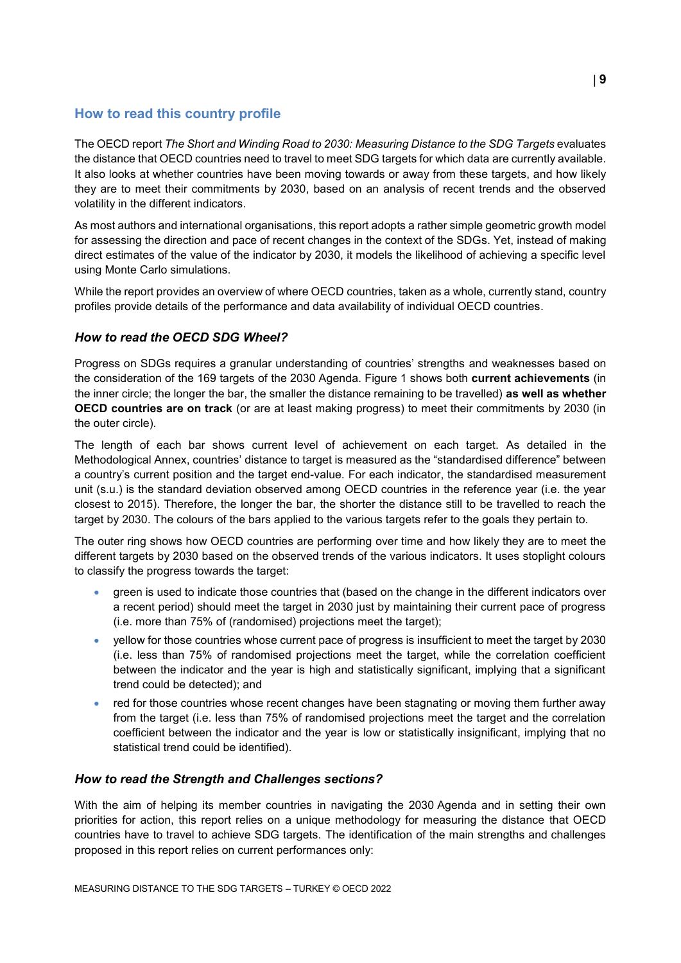# <span id="page-8-0"></span>**How to read this country profile**

The OECD report *The Short and Winding Road to 2030: Measuring Distance to the SDG Targets* evaluates the distance that OECD countries need to travel to meet SDG targets for which data are currently available. It also looks at whether countries have been moving towards or away from these targets, and how likely they are to meet their commitments by 2030, based on an analysis of recent trends and the observed volatility in the different indicators.

As most authors and international organisations, this report adopts a rather simple geometric growth model for assessing the direction and pace of recent changes in the context of the SDGs. Yet, instead of making direct estimates of the value of the indicator by 2030, it models the likelihood of achieving a specific level using Monte Carlo simulations.

While the report provides an overview of where OECD countries, taken as a whole, currently stand, country profiles provide details of the performance and data availability of individual OECD countries.

# *How to read the OECD SDG Wheel?*

Progress on SDGs requires a granular understanding of countries' strengths and weaknesses based on the consideration of the 169 targets of the 2030 Agenda. [Figure](#page-0-0) 1 shows both **current achievements** (in the inner circle; the longer the bar, the smaller the distance remaining to be travelled) **as well as whether OECD countries are on track** (or are at least making progress) to meet their commitments by 2030 (in the outer circle).

The length of each bar shows current level of achievement on each target. As detailed in the Methodological Annex, countries' distance to target is measured as the "standardised difference" between a country's current position and the target end-value. For each indicator, the standardised measurement unit (s.u.) is the standard deviation observed among OECD countries in the reference year (i.e. the year closest to 2015). Therefore, the longer the bar, the shorter the distance still to be travelled to reach the target by 2030. The colours of the bars applied to the various targets refer to the goals they pertain to.

The outer ring shows how OECD countries are performing over time and how likely they are to meet the different targets by 2030 based on the observed trends of the various indicators. It uses stoplight colours to classify the progress towards the target:

- green is used to indicate those countries that (based on the change in the different indicators over a recent period) should meet the target in 2030 just by maintaining their current pace of progress (i.e. more than 75% of (randomised) projections meet the target);
- yellow for those countries whose current pace of progress is insufficient to meet the target by 2030 (i.e. less than 75% of randomised projections meet the target, while the correlation coefficient between the indicator and the year is high and statistically significant, implying that a significant trend could be detected); and
- red for those countries whose recent changes have been stagnating or moving them further away from the target (i.e. less than 75% of randomised projections meet the target and the correlation coefficient between the indicator and the year is low or statistically insignificant, implying that no statistical trend could be identified).

# *How to read the Strength and Challenges sections?*

With the aim of helping its member countries in navigating the 2030 Agenda and in setting their own priorities for action, this report relies on a unique methodology for measuring the distance that OECD countries have to travel to achieve SDG targets. The identification of the main strengths and challenges proposed in this report relies on current performances only: